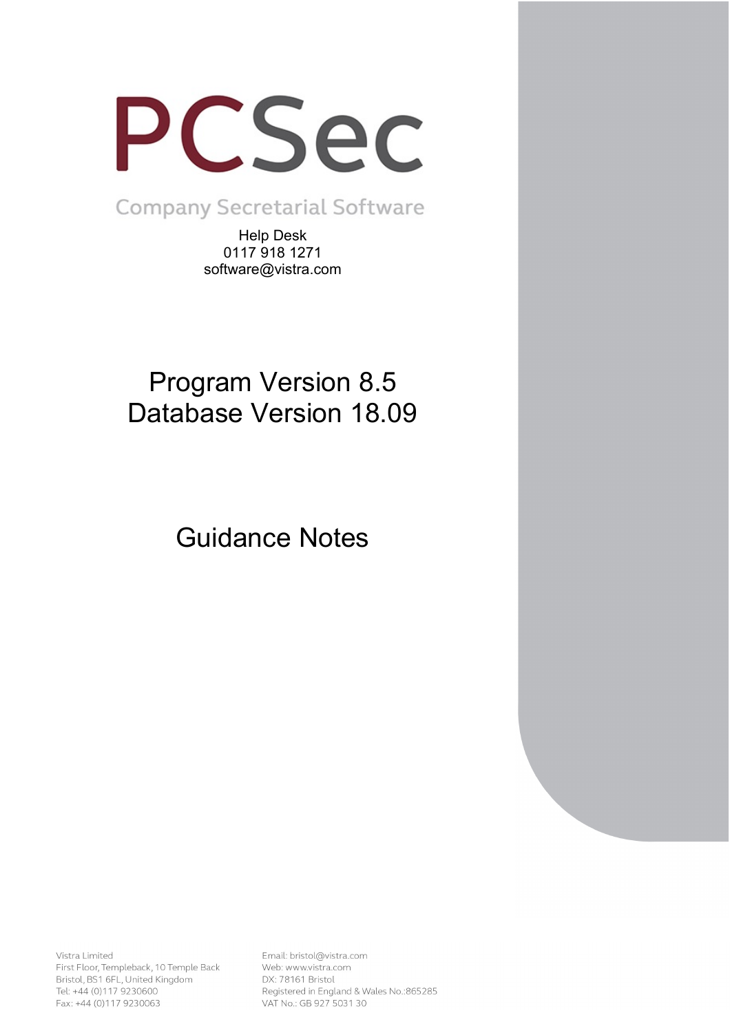

**Company Secretarial Software** 

Help Desk 0117 918 1271 software@vistra.com

# Program Version 8.5 Database Version 18.09

Guidance Notes

Vistra Limited First Floor, Templeback, 10 Temple Back Bristol, BS1 6FL, United Kingdom Tel: +44 (0)117 9230600 Fax: +44 (0)117 9230063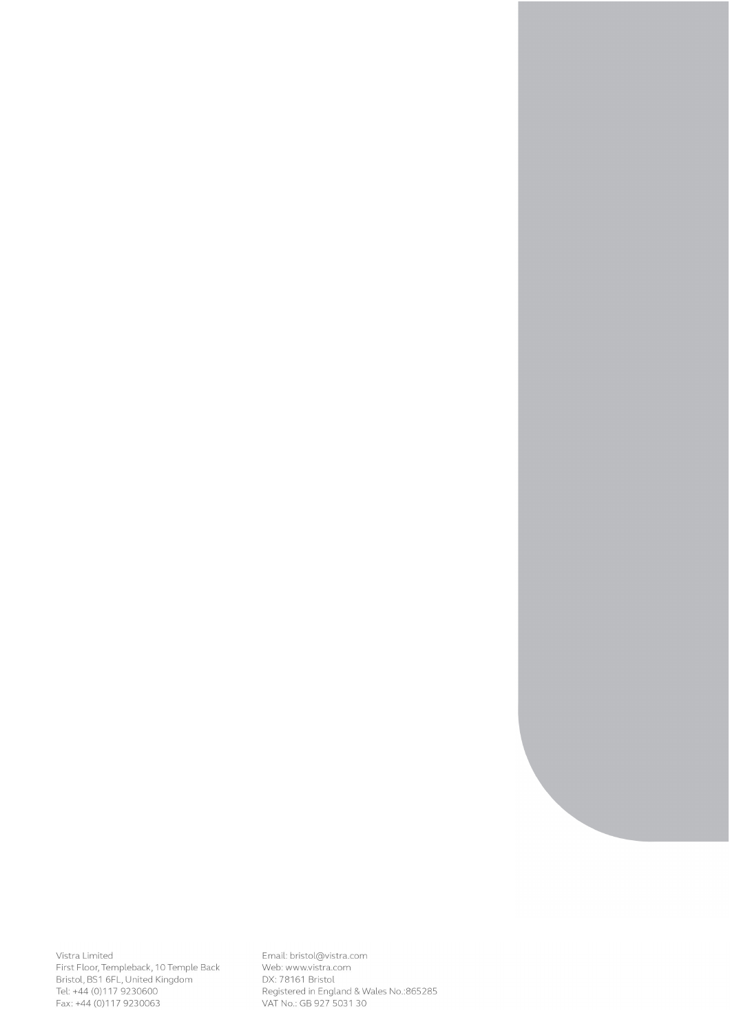Vistra Limited<br>First Floor, Templeback, 10 Temple Back<br>Bristol, BS1 6FL, United Kingdom<br>Tel: +44 (0)117 9230600<br>Fax: +44 (0)117 9230063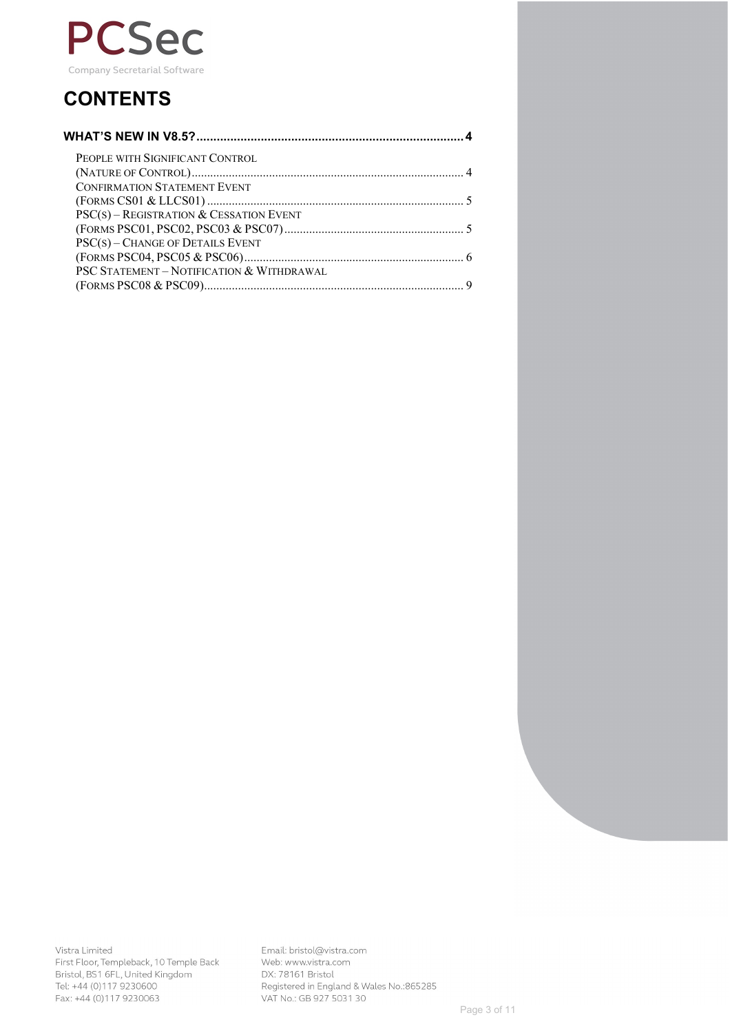

# **CONTENTS**

| PEOPLE WITH SIGNIFICANT CONTROL           |  |
|-------------------------------------------|--|
|                                           |  |
| <b>CONFIRMATION STATEMENT EVENT</b>       |  |
|                                           |  |
| $PSC(s)$ – REGISTRATION & CESSATION EVENT |  |
|                                           |  |
| PSC(s) - CHANGE OF DETAILS EVENT          |  |
|                                           |  |
| PSC STATEMENT - NOTIFICATION & WITHDRAWAL |  |
|                                           |  |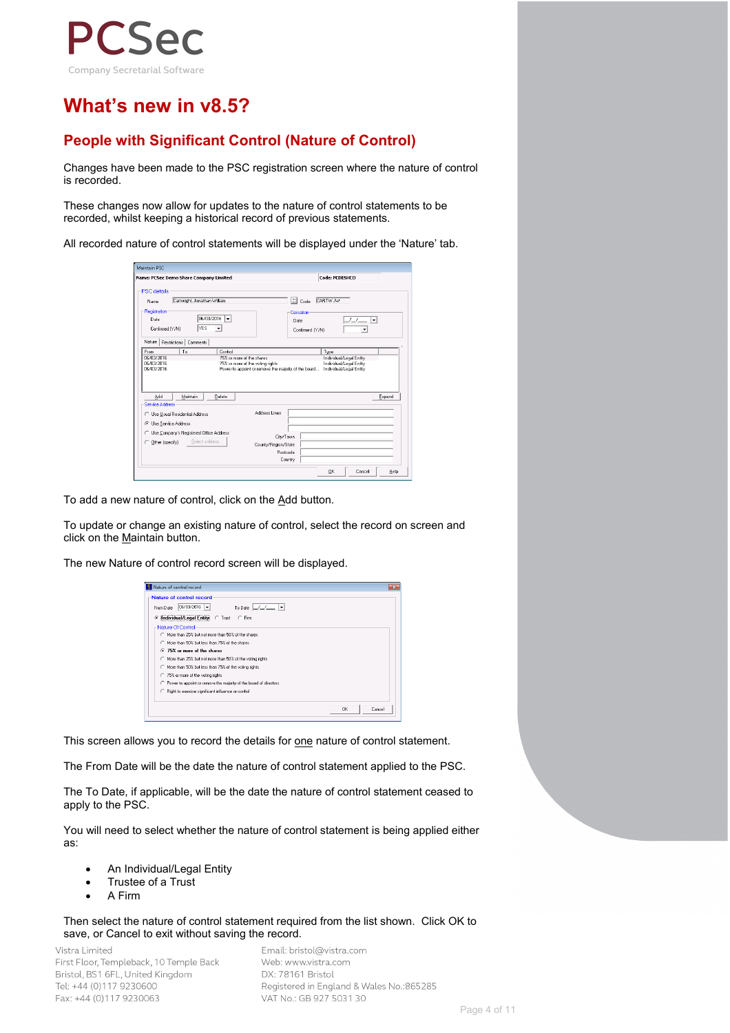

# **What's new in v8.5?**

## **People with Significant Control (Nature of Control)**

Changes have been made to the PSC registration screen where the nature of control is recorded.

These changes now allow for updates to the nature of control statements to be recorded, whilst keeping a historical record of previous statements.

All recorded nature of control statements will be displayed under the 'Nature' tab.

| Name: PCSec Demo Share Company Limited                                                                                                              |                              |                      |                                                                                          |                              | Code: PCDESHCO                                     |        |
|-----------------------------------------------------------------------------------------------------------------------------------------------------|------------------------------|----------------------|------------------------------------------------------------------------------------------|------------------------------|----------------------------------------------------|--------|
| PSC details                                                                                                                                         |                              |                      |                                                                                          |                              |                                                    |        |
| Name                                                                                                                                                | Cartwright, Jonathan William |                      |                                                                                          | <b>C</b><br>CARTW JW<br>Code |                                                    |        |
| -Registration                                                                                                                                       |                              |                      |                                                                                          | <b>Cessation:</b>            |                                                    |        |
| Date                                                                                                                                                |                              | 06/03/2016<br>l.     |                                                                                          | Date                         | $\sqrt{L}$                                         | ∓      |
| Confirmed (Y/N)                                                                                                                                     | YES                          | $\blacktriangledown$ |                                                                                          | Confirmed (Y/N)              |                                                    |        |
| Nature                                                                                                                                              | Restrictions   Comments      |                      |                                                                                          |                              |                                                    |        |
| From                                                                                                                                                | To                           | Control              |                                                                                          |                              | Type                                               |        |
|                                                                                                                                                     |                              |                      |                                                                                          |                              |                                                    |        |
|                                                                                                                                                     |                              |                      | 75% or more of the shares                                                                |                              | Individual/Legal Entity                            |        |
|                                                                                                                                                     |                              |                      | 75% or more of the voting rights<br>Power to appoint or remove the majority of the board |                              | Individual/Legal Entity<br>Individual/Legal Entity |        |
|                                                                                                                                                     |                              |                      |                                                                                          |                              |                                                    |        |
| 06/03/2016<br>310372016<br>3103/2016<br>Add                                                                                                         | Maintain                     | Delete               |                                                                                          |                              |                                                    | Expand |
|                                                                                                                                                     |                              |                      |                                                                                          |                              |                                                    |        |
|                                                                                                                                                     |                              |                      | Address Lines                                                                            |                              |                                                    |        |
|                                                                                                                                                     |                              |                      |                                                                                          |                              |                                                    |        |
|                                                                                                                                                     |                              |                      |                                                                                          |                              |                                                    |        |
|                                                                                                                                                     |                              |                      | City/Town                                                                                |                              |                                                    |        |
| Other (specify)                                                                                                                                     |                              | Select address       | County/Region/State                                                                      |                              |                                                    |        |
| <b>Service Address</b><br><b>C</b> Use Usual Residential Address<br>C Use Service Address<br>C Use Company's Registered Office Address<br>$\subset$ |                              |                      | Postcode<br>Country                                                                      |                              |                                                    |        |

To add a new nature of control, click on the Add button.

To update or change an existing nature of control, select the record on screen and click on the Maintain button.

The new Nature of control record screen will be displayed.

| Nature of control record                                                                                                                                    |  |
|-------------------------------------------------------------------------------------------------------------------------------------------------------------|--|
| <b>Nature of control record</b><br>$06/03/2016$ $\rightarrow$<br>To Date $L/L =  v $<br>From Date<br>Individual/Legal Entity C Trust C Firm<br>$\epsilon$   |  |
| -Nature Of Control<br>C More than 25% but not more than 50% of the shares<br>C More than 50% but less than 75% of the shares<br>⊙ 75% or more of the shares |  |
| C More than 25% but not more than 50% of the voting rights<br>C More than 50% but less than 75% of the voting rights<br>◯ 75% or more of the voting rights  |  |
| C Power to appoint or remove the majority of the board of directors<br>C Right to exercise significant influence or control                                 |  |
| <b>DK</b><br>Cancel                                                                                                                                         |  |

This screen allows you to record the details for one nature of control statement.

The From Date will be the date the nature of control statement applied to the PSC.

The To Date, if applicable, will be the date the nature of control statement ceased to apply to the PSC.

You will need to select whether the nature of control statement is being applied either as:

- An Individual/Legal Entity
- Trustee of a Trust
- A Firm

Then select the nature of control statement required from the list shown. Click OK to save, or Cancel to exit without saving the record.

Vistra Limited First Floor, Templeback, 10 Temple Back Bristol, BS1 6FL, United Kingdom Tel: +44 (0)117 9230600 Fax: +44 (0)117 9230063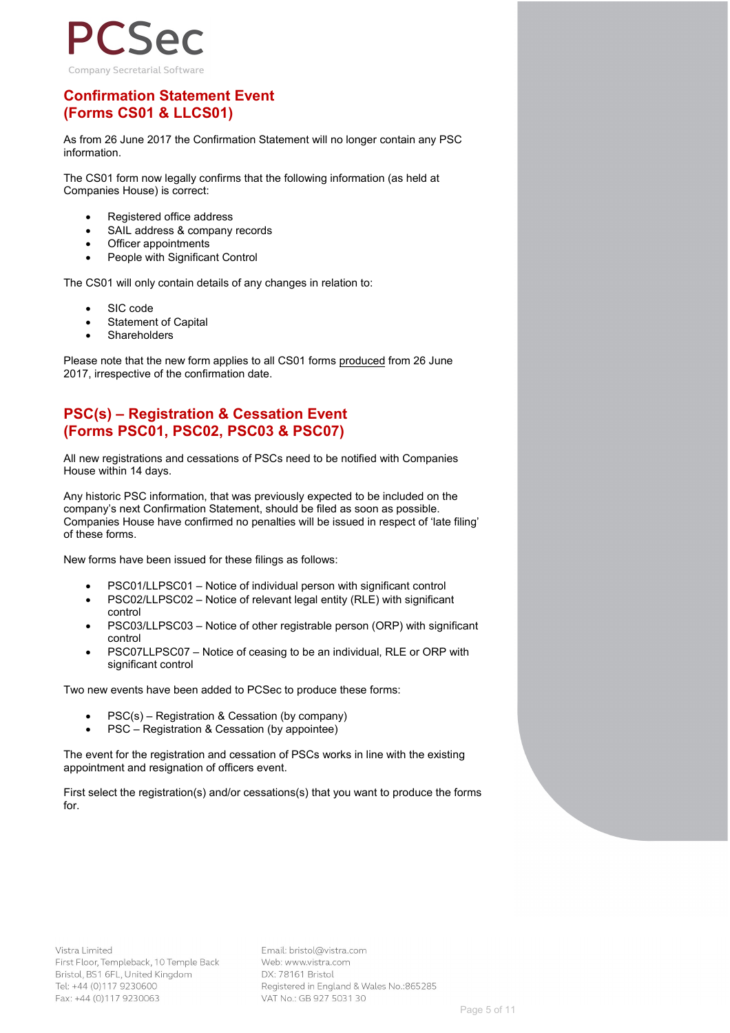

### **Confirmation Statement Event (Forms CS01 & LLCS01)**

As from 26 June 2017 the Confirmation Statement will no longer contain any PSC information.

The CS01 form now legally confirms that the following information (as held at Companies House) is correct:

- Registered office address
- SAIL address & company records
- Officer appointments
- People with Significant Control

The CS01 will only contain details of any changes in relation to:

- SIC code
- **Statement of Capital**
- **Shareholders**

Please note that the new form applies to all CS01 forms produced from 26 June 2017, irrespective of the confirmation date.

### **PSC(s) – Registration & Cessation Event (Forms PSC01, PSC02, PSC03 & PSC07)**

All new registrations and cessations of PSCs need to be notified with Companies House within 14 days.

Any historic PSC information, that was previously expected to be included on the company's next Confirmation Statement, should be filed as soon as possible. Companies House have confirmed no penalties will be issued in respect of 'late filing' of these forms.

New forms have been issued for these filings as follows:

- PSC01/LLPSC01 Notice of individual person with significant control
- PSC02/LLPSC02 Notice of relevant legal entity (RLE) with significant control
- PSC03/LLPSC03 Notice of other registrable person (ORP) with significant control
- PSC07LLPSC07 Notice of ceasing to be an individual, RLE or ORP with significant control

Two new events have been added to PCSec to produce these forms:

- PSC(s) Registration & Cessation (by company)
- PSC Registration & Cessation (by appointee)

The event for the registration and cessation of PSCs works in line with the existing appointment and resignation of officers event.

First select the registration(s) and/or cessations(s) that you want to produce the forms for.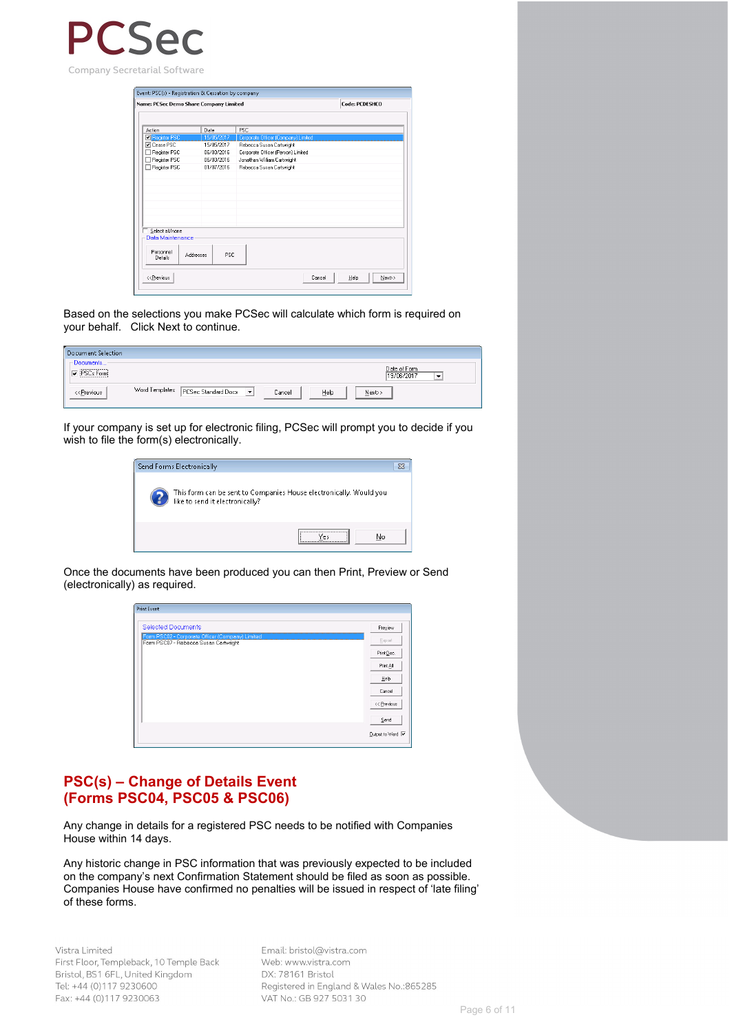

| Action<br>Register PSC                                                                | Date             | PSC                                 |                |
|---------------------------------------------------------------------------------------|------------------|-------------------------------------|----------------|
|                                                                                       |                  |                                     |                |
|                                                                                       |                  |                                     |                |
|                                                                                       | 15/05/2017       | Corporate Officer (Company) Limited |                |
| <b>▽</b> Cease PSC                                                                    | 15/05/2017       | Rebecca Susan Cartwright            |                |
| Register PSC                                                                          | 3103/2016        | Corporate Officer (Person) Limited  |                |
| Register PSC                                                                          | 06/03/2016       | Jonathan William Cartwright         |                |
| Register PSC                                                                          | 01/07/2016       | Rebecca Susan Cartwright            |                |
|                                                                                       |                  |                                     |                |
|                                                                                       |                  |                                     |                |
|                                                                                       |                  |                                     |                |
|                                                                                       |                  |                                     |                |
|                                                                                       |                  |                                     |                |
|                                                                                       |                  |                                     |                |
|                                                                                       |                  |                                     |                |
| Select all/none                                                                       |                  |                                     |                |
| Data Maintenance                                                                      |                  |                                     |                |
|                                                                                       |                  |                                     |                |
| Personnel                                                                             | PSC<br>Addresses |                                     |                |
| Details                                                                               |                  |                                     |                |
|                                                                                       |                  |                                     |                |
| < <previous< td=""><td></td><td>Cancel</td><td>Next&gt;&gt;<br/>Help</td></previous<> |                  | Cancel                              | Next>><br>Help |

Based on the selections you make PCSec will calculate which form is required on your behalf. Click Next to continue.

| <b>Document Selection</b> |                                                                                                   |
|---------------------------|---------------------------------------------------------------------------------------------------|
| ⊢Documents-               | Date of Form<br>19/06/2017<br>۰                                                                   |
| << <u>P</u> revious       | Word Templates   PCSec Standard Docx<br>$\left\  \mathbf{v} \right\ $<br>Next>><br>Help<br>Cancel |

If your company is set up for electronic filing, PCSec will prompt you to decide if you wish to file the form(s) electronically.

| Send Forms Electronically                                                                             |  |
|-------------------------------------------------------------------------------------------------------|--|
| This form can be sent to Companies House electronically. Would you<br>like to send it electronically? |  |
| No                                                                                                    |  |

Once the documents have been produced you can then Print, Preview or Send (electronically) as required.

| <b>Print Event</b>                                                                        |                         |
|-------------------------------------------------------------------------------------------|-------------------------|
|                                                                                           |                         |
| <b>Selected Documents</b>                                                                 | Preview                 |
| Form PSC02 - Corporate Officer (Company) Limited<br>Form PSC07 - Rebecca Susan Cartwright | Export                  |
|                                                                                           | Print Doc.              |
|                                                                                           | Print All               |
|                                                                                           | Help                    |
|                                                                                           | Cancel                  |
|                                                                                           | << Previous             |
|                                                                                           | Send                    |
|                                                                                           | Output to Word <b>▽</b> |

#### **PSC(s) – Change of Details Event (Forms PSC04, PSC05 & PSC06)**

Any change in details for a registered PSC needs to be notified with Companies House within 14 days.

Any historic change in PSC information that was previously expected to be included on the company's next Confirmation Statement should be filed as soon as possible. Companies House have confirmed no penalties will be issued in respect of 'late filing' of these forms.

Vistra Limited First Floor, Templeback, 10 Temple Back Bristol, BS1 6FL, United Kingdom Tel: +44 (0)117 9230600 Fax: +44 (0)117 9230063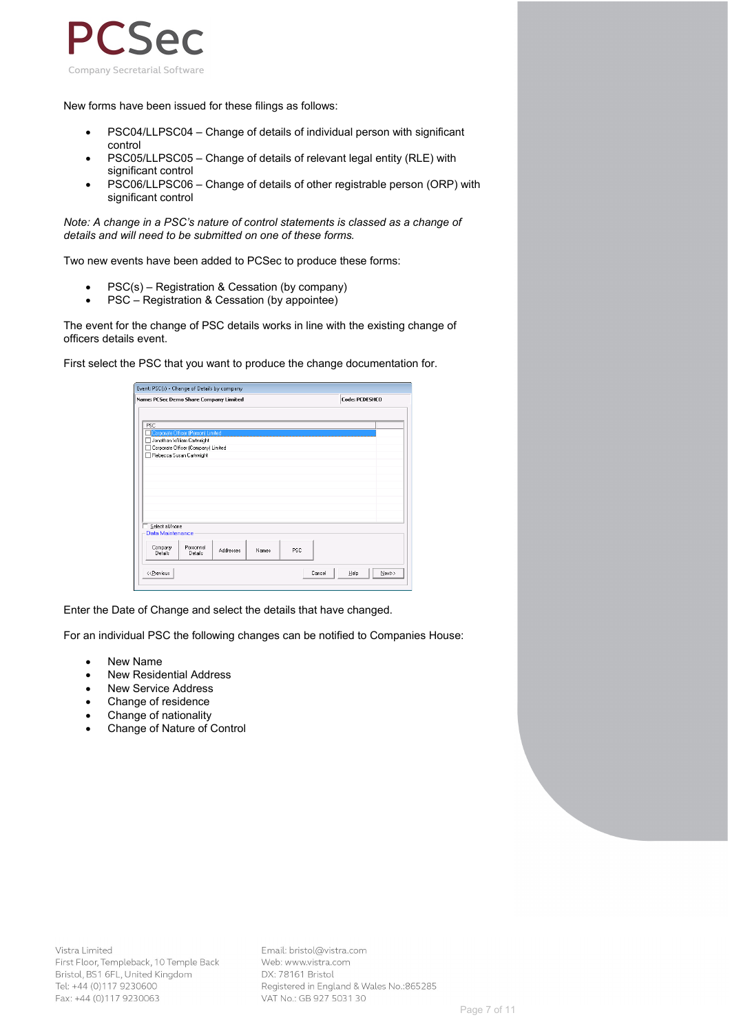

New forms have been issued for these filings as follows:

- PSC04/LLPSC04 Change of details of individual person with significant control
- PSC05/LLPSC05 Change of details of relevant legal entity (RLE) with significant control
- PSC06/LLPSC06 Change of details of other registrable person (ORP) with significant control

*Note: A change in a PSC's nature of control statements is classed as a change of details and will need to be submitted on one of these forms.*

Two new events have been added to PCSec to produce these forms:

- PSC(s) Registration & Cessation (by company)
- PSC Registration & Cessation (by appointee)

The event for the change of PSC details works in line with the existing change of officers details event.

First select the PSC that you want to produce the change documentation for.

|                                                                                                                      | Name: PCSec Demo Share Company Limited |           |       |            |        | Code: PCDESHCO |        |
|----------------------------------------------------------------------------------------------------------------------|----------------------------------------|-----------|-------|------------|--------|----------------|--------|
|                                                                                                                      |                                        |           |       |            |        |                |        |
| PSC                                                                                                                  |                                        |           |       |            |        |                |        |
|                                                                                                                      | Corporate Officer (Person) Limited     |           |       |            |        |                |        |
|                                                                                                                      | Jonathan William Cartwright            |           |       |            |        |                |        |
|                                                                                                                      | Corporate Officer (Company) Limited    |           |       |            |        |                |        |
|                                                                                                                      | Rebecca Susan Cartwright               |           |       |            |        |                |        |
|                                                                                                                      |                                        |           |       |            |        |                |        |
|                                                                                                                      |                                        |           |       |            |        |                |        |
|                                                                                                                      |                                        |           |       |            |        |                |        |
|                                                                                                                      |                                        |           |       |            |        |                |        |
|                                                                                                                      |                                        |           |       |            |        |                |        |
|                                                                                                                      |                                        |           |       |            |        |                |        |
|                                                                                                                      |                                        |           |       |            |        |                |        |
|                                                                                                                      |                                        |           |       |            |        |                |        |
|                                                                                                                      |                                        |           |       |            |        |                |        |
| Select all/none<br>Data Maintenance                                                                                  |                                        |           |       |            |        |                |        |
|                                                                                                                      |                                        |           |       |            |        |                |        |
| Company                                                                                                              | Personnel                              | Addresses | Names | <b>PSC</b> |        |                |        |
| Details                                                                                                              | Details                                |           |       |            |        |                |        |
| < <previous< td=""><td></td><td></td><td></td><td></td><td>Cancel</td><td>Help</td><td>Next&gt;&gt;</td></previous<> |                                        |           |       |            | Cancel | Help           | Next>> |

Enter the Date of Change and select the details that have changed.

For an individual PSC the following changes can be notified to Companies House:

- **New Name**
- **New Residential Address**
- New Service Address
- Change of residence
- Change of nationality
- Change of Nature of Control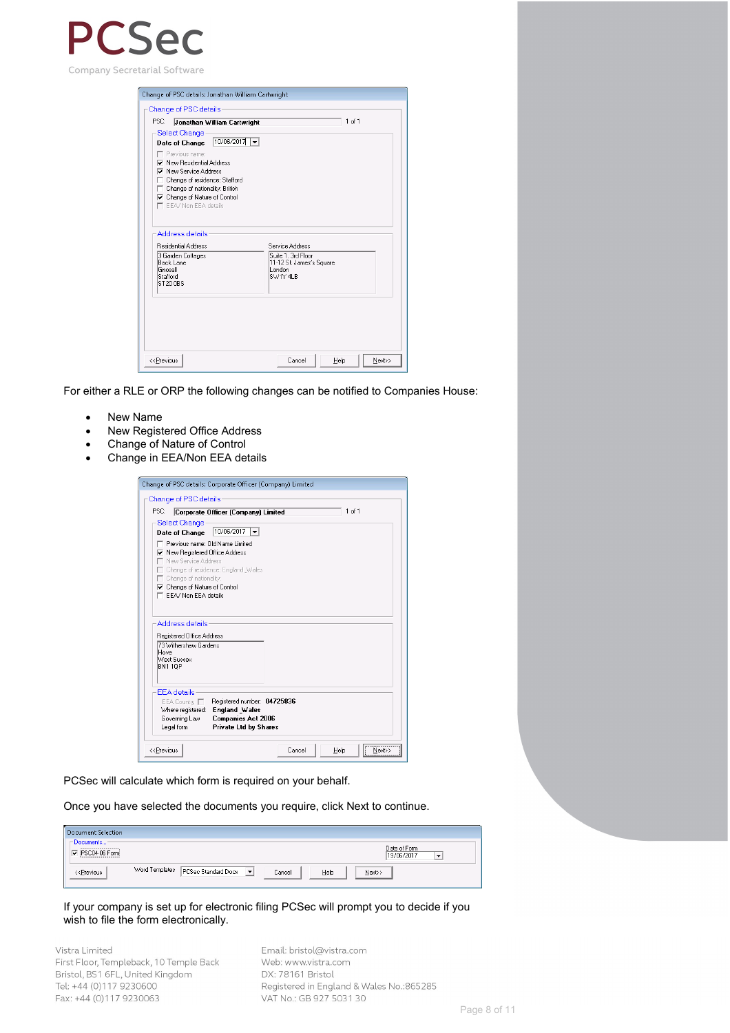

| Change of PSC details<br>PSC:<br>Jonathan William Cartwright<br>Select Change                                                                                                                                                                           | 1 of 1                                                                                  |
|---------------------------------------------------------------------------------------------------------------------------------------------------------------------------------------------------------------------------------------------------------|-----------------------------------------------------------------------------------------|
| $10/06/2017$ $\rightarrow$<br>Date of Change<br>Previous name:<br>Mew Besidential Address<br><b>▽</b> New Service Address<br>Change of residence: Stafford<br>Change of nationality: British<br>□ Change of Nature of Control<br>E EEA/ Non EEA details |                                                                                         |
| Address details<br><b>Besidential Address</b><br>3 Garden Cottages<br>Back Lane<br>Gnosall<br>Stafford<br>ST20 0BS                                                                                                                                      | Service Address<br>Suite 1, 3rd Floor<br>11-12 St. James's Square<br>London<br>SW1Y 4LB |
| < <previous< th=""><th>Cancel<br/>Help<br/>Next&gt;&gt;</th></previous<>                                                                                                                                                                                | Cancel<br>Help<br>Next>>                                                                |

For either a RLE or ORP the following changes can be notified to Companies House:

- New Name
- New Registered Office Address
- Change of Nature of Control
- Change in EEA/Non EEA details

| Select Change<br>10/06/2017<br>Date of Change<br>Previous name: Old Name Limited<br><b>▽</b> New Registered Office Address<br>New Service Address<br>Change of residence: England Wales<br>Change of nationality:<br>□ Change of Nature of Control<br>FFA/ Non FFA details |  |
|----------------------------------------------------------------------------------------------------------------------------------------------------------------------------------------------------------------------------------------------------------------------------|--|
|                                                                                                                                                                                                                                                                            |  |
|                                                                                                                                                                                                                                                                            |  |
|                                                                                                                                                                                                                                                                            |  |
|                                                                                                                                                                                                                                                                            |  |
|                                                                                                                                                                                                                                                                            |  |
|                                                                                                                                                                                                                                                                            |  |
|                                                                                                                                                                                                                                                                            |  |
|                                                                                                                                                                                                                                                                            |  |
| Address details<br>Registered Office Address<br>73 Withershaw Gardens<br>Hove<br>West Sussex<br>BN1 10P                                                                                                                                                                    |  |
| <b>FFA</b> details<br>Registered number: 04725836<br>EEA Country<br>England Wales<br>Where registered:<br>Governing Law<br><b>Companies Act 2006</b><br>Legal form<br><b>Private Ltd by Shares</b>                                                                         |  |

PCSec will calculate which form is required on your behalf.

Once you have selected the documents you require, click Next to continue.

| <b>Document Selection</b>                                                                                                                                                         |                                                                                           |
|-----------------------------------------------------------------------------------------------------------------------------------------------------------------------------------|-------------------------------------------------------------------------------------------|
| - Documents-<br>-----------------------<br>PSC04-06 Form                                                                                                                          | Date of Form<br>19/06/2017<br>$\overline{\phantom{a}}$                                    |
| < <previous< td=""><td>Word Templates PCSec Standard Dock<br/><math display="inline">\blacktriangledown</math><br/>Help<br/>Cancel<br/><math>N</math>ext&gt;&gt;</td></previous<> | Word Templates PCSec Standard Dock<br>$\blacktriangledown$<br>Help<br>Cancel<br>$N$ ext>> |

If your company is set up for electronic filing PCSec will prompt you to decide if you wish to file the form electronically.

Vistra Limited First Floor, Templeback, 10 Temple Back Bristol, BS1 6FL, United Kingdom Tel: +44 (0)117 9230600 Fax: +44 (0)117 9230063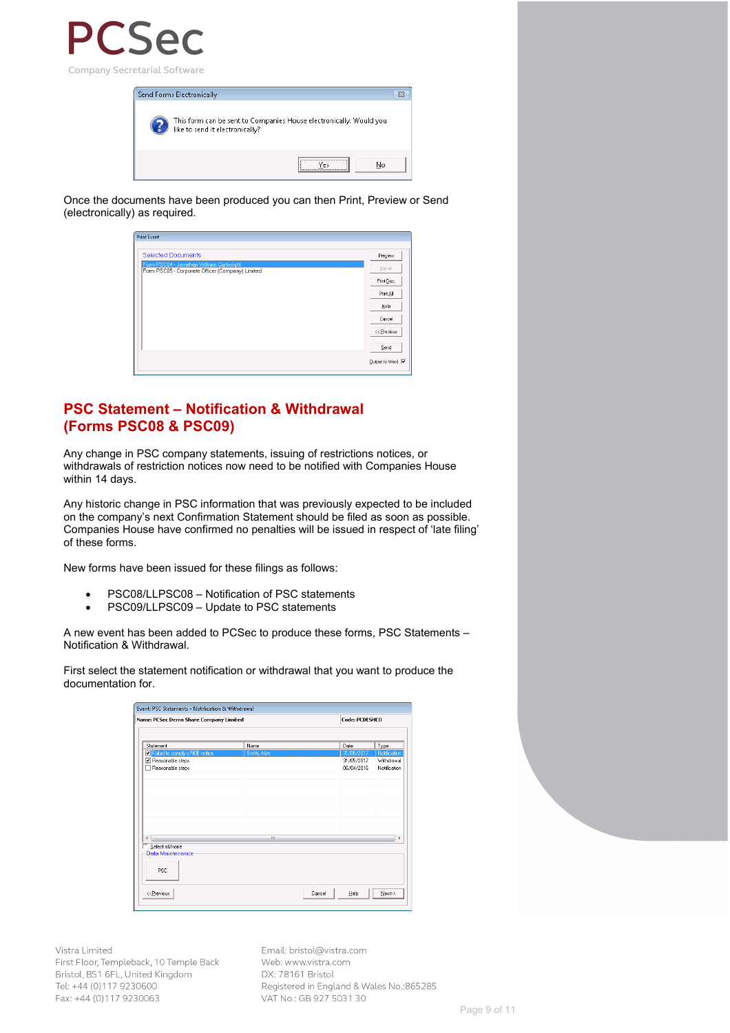



Once the documents have been produced you can then Print, Preview or Send (electronically) as required.

| <b>Print Event</b>                               |                         |
|--------------------------------------------------|-------------------------|
|                                                  |                         |
| <b>Selected Documents</b>                        | Preview                 |
| Form PSC04 - Jonathan William Cartwright         | Export                  |
| Form PSC05 - Corporate Officer (Company) Limited |                         |
|                                                  | Print Doc.              |
|                                                  | Print All               |
|                                                  | Help                    |
|                                                  | Cancel                  |
|                                                  | << Previous             |
|                                                  | Send                    |
|                                                  | Output to Word <b>▽</b> |

#### **PSC Statement – Notification & Withdrawal (Forms PSC08 & PSC09)**

Any change in PSC company statements, issuing of restrictions notices, or withdrawals of restriction notices now need to be notified with Companies House within 14 days.

Any historic change in PSC information that was previously expected to be included on the company's next Confirmation Statement should be filed as soon as possible. Companies House have confirmed no penalties will be issued in respect of 'late filing' of these forms.

New forms have been issued for these filings as follows:

- PSC08/LLPSC08 Notification of PSC statements
- PSC09/LLPSC09 Update to PSC statements

A new event has been added to PCSec to produce these forms, PSC Statements – Notification & Withdrawal.

First select the statement notification or withdrawal that you want to produce the documentation for.

| Event: PSC Statements - Notification & Withdrawal                                         |             |        |                |              |
|-------------------------------------------------------------------------------------------|-------------|--------|----------------|--------------|
| Name: PCSec Demo Share Company Limited                                                    |             |        | Code: PCDESHCO |              |
|                                                                                           |             |        |                |              |
| Statement                                                                                 | Name        |        | Date           | Type         |
| Failed to comply s790E notice                                                             | Smith, Alan |        | 31/05/2017     | Notification |
| Reasonable steps                                                                          |             |        | 31/05/2017     | Withdrawal   |
| Reasonable steps                                                                          |             |        | 06/04/2016     | Notification |
|                                                                                           |             |        |                |              |
|                                                                                           |             |        |                |              |
|                                                                                           |             |        |                |              |
|                                                                                           |             |        |                |              |
|                                                                                           |             |        |                |              |
|                                                                                           |             |        |                |              |
|                                                                                           |             |        |                |              |
|                                                                                           |             |        |                |              |
| ∢                                                                                         | m           |        |                | ٠            |
|                                                                                           |             |        |                |              |
| Select all/none                                                                           |             |        |                |              |
| Data Maintenance                                                                          |             |        |                |              |
|                                                                                           |             |        |                |              |
| <b>PSC</b>                                                                                |             |        |                |              |
|                                                                                           |             |        |                |              |
|                                                                                           |             |        |                |              |
| < <previous< td=""><td></td><td>Cancel</td><td>Help</td><td>Next&gt;&gt;</td></previous<> |             | Cancel | Help           | Next>>       |
|                                                                                           |             |        |                |              |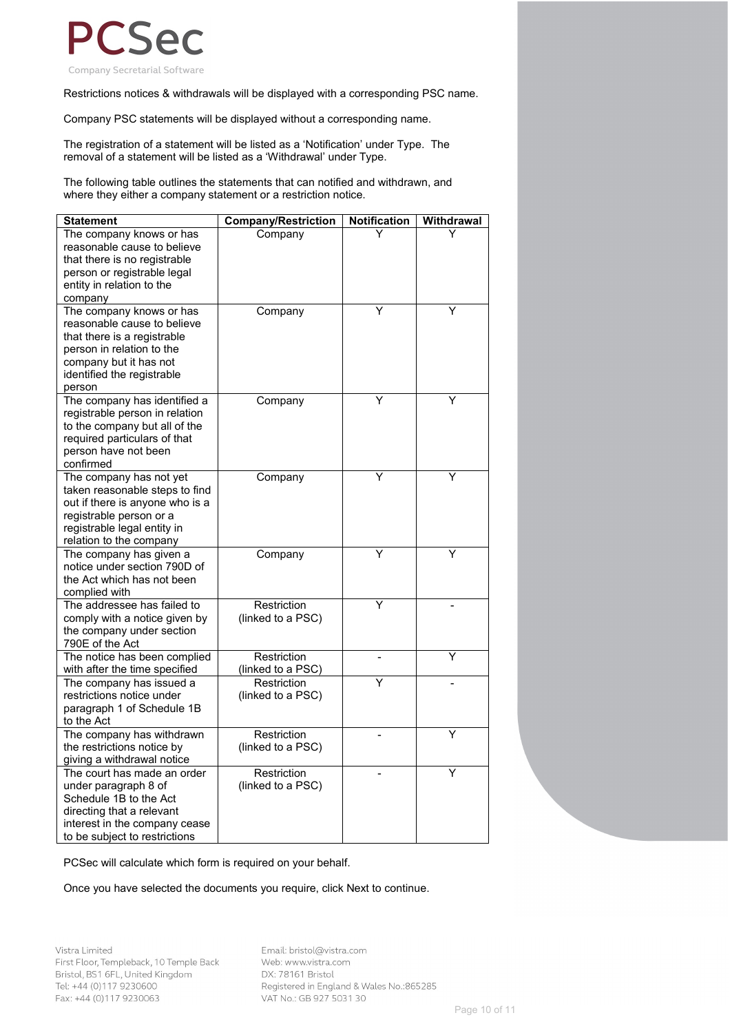

Restrictions notices & withdrawals will be displayed with a corresponding PSC name.

Company PSC statements will be displayed without a corresponding name.

The registration of a statement will be listed as a 'Notification' under Type. The removal of a statement will be listed as a 'Withdrawal' under Type.

The following table outlines the statements that can notified and withdrawn, and where they either a company statement or a restriction notice.

| <b>Statement</b>                                     | <b>Company/Restriction</b> | <b>Notification</b> | Withdrawal |
|------------------------------------------------------|----------------------------|---------------------|------------|
| The company knows or has                             | Company                    |                     |            |
| reasonable cause to believe                          |                            |                     |            |
| that there is no registrable                         |                            |                     |            |
| person or registrable legal                          |                            |                     |            |
| entity in relation to the                            |                            |                     |            |
| company                                              |                            |                     |            |
| The company knows or has                             | Company                    | Υ                   | Υ          |
| reasonable cause to believe                          |                            |                     |            |
| that there is a registrable                          |                            |                     |            |
| person in relation to the                            |                            |                     |            |
| company but it has not                               |                            |                     |            |
| identified the registrable                           |                            |                     |            |
| person                                               |                            |                     |            |
| The company has identified a                         | Company                    | Y                   | Υ          |
| registrable person in relation                       |                            |                     |            |
| to the company but all of the                        |                            |                     |            |
| required particulars of that<br>person have not been |                            |                     |            |
| confirmed                                            |                            |                     |            |
| The company has not yet                              | Company                    | Y                   | Υ          |
| taken reasonable steps to find                       |                            |                     |            |
| out if there is anyone who is a                      |                            |                     |            |
| registrable person or a                              |                            |                     |            |
| registrable legal entity in                          |                            |                     |            |
| relation to the company                              |                            |                     |            |
| The company has given a                              | Company                    | Y                   | Y          |
| notice under section 790D of                         |                            |                     |            |
| the Act which has not been                           |                            |                     |            |
| complied with                                        |                            |                     |            |
| The addressee has failed to                          | Restriction                | Ý                   |            |
| comply with a notice given by                        | (linked to a PSC)          |                     |            |
| the company under section                            |                            |                     |            |
| 790E of the Act                                      |                            |                     |            |
| The notice has been complied                         | Restriction                |                     | Υ          |
| with after the time specified                        | (linked to a PSC)          |                     |            |
| The company has issued a                             | Restriction                | Ý                   |            |
| restrictions notice under                            | (linked to a PSC)          |                     |            |
| paragraph 1 of Schedule 1B                           |                            |                     |            |
| to the Act                                           |                            |                     |            |
| The company has withdrawn                            | Restriction                |                     | Y          |
| the restrictions notice by                           | (linked to a PSC)          |                     |            |
| giving a withdrawal notice                           |                            |                     |            |
| The court has made an order                          | Restriction                |                     | Y          |
| under paragraph 8 of                                 | (linked to a PSC)          |                     |            |
| Schedule 1B to the Act                               |                            |                     |            |
| directing that a relevant                            |                            |                     |            |
| interest in the company cease                        |                            |                     |            |
| to be subject to restrictions                        |                            |                     |            |

PCSec will calculate which form is required on your behalf.

Once you have selected the documents you require, click Next to continue.